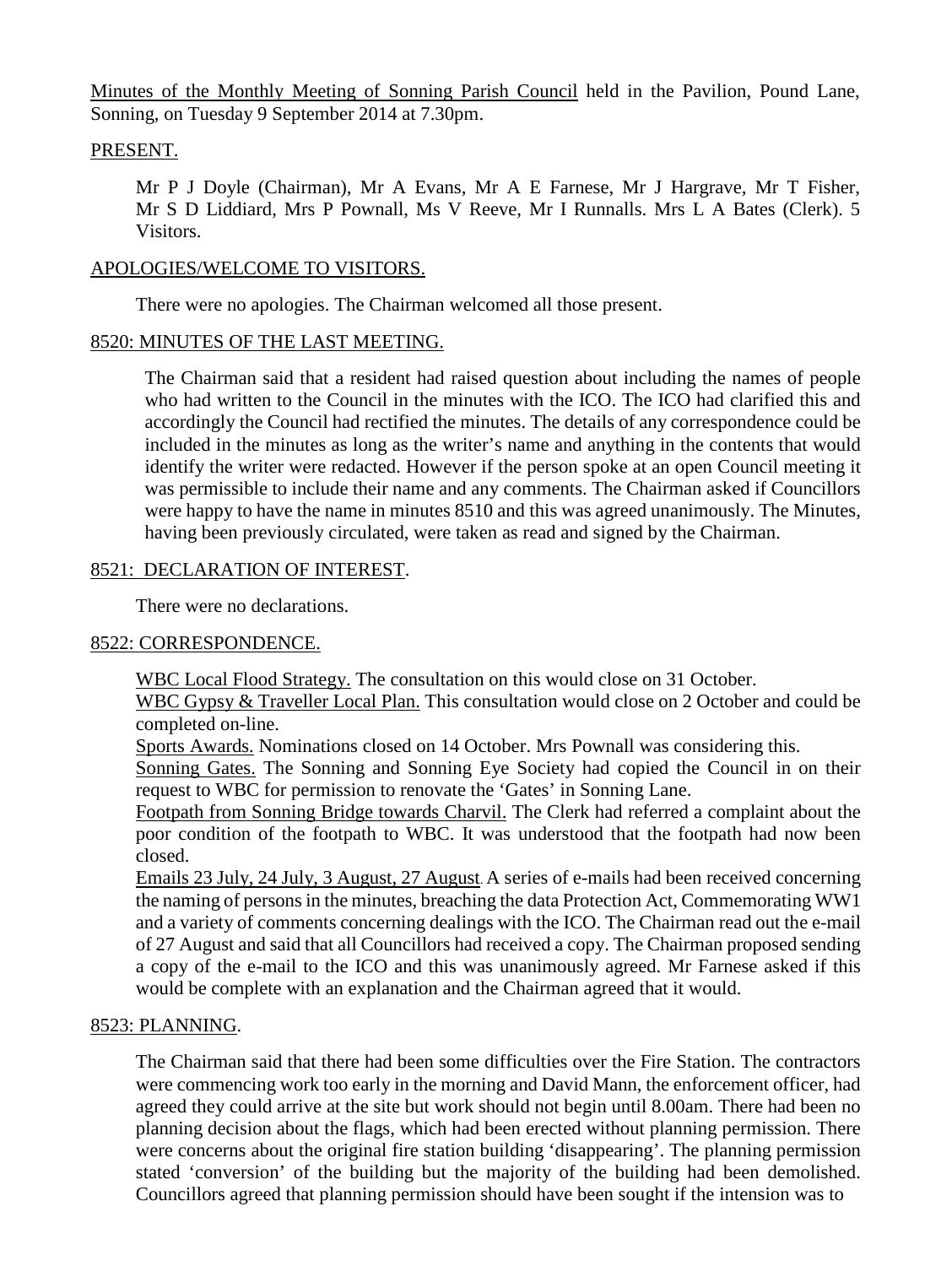Minutes of the Monthly Meeting of Sonning Parish Council held in the Pavilion, Pound Lane, Sonning, on Tuesday 9 September 2014 at 7.30pm.

## PRESENT.

Mr P J Doyle (Chairman), Mr A Evans, Mr A E Farnese, Mr J Hargrave, Mr T Fisher, Mr S D Liddiard, Mrs P Pownall, Ms V Reeve, Mr I Runnalls. Mrs L A Bates (Clerk). 5 Visitors.

### APOLOGIES/WELCOME TO VISITORS.

There were no apologies. The Chairman welcomed all those present.

### 8520: MINUTES OF THE LAST MEETING.

The Chairman said that a resident had raised question about including the names of people who had written to the Council in the minutes with the ICO. The ICO had clarified this and accordingly the Council had rectified the minutes. The details of any correspondence could be included in the minutes as long as the writer's name and anything in the contents that would identify the writer were redacted. However if the person spoke at an open Council meeting it was permissible to include their name and any comments. The Chairman asked if Councillors were happy to have the name in minutes 8510 and this was agreed unanimously. The Minutes, having been previously circulated, were taken as read and signed by the Chairman.

### 8521: DECLARATION OF INTEREST.

There were no declarations.

## 8522: CORRESPONDENCE.

WBC Local Flood Strategy. The consultation on this would close on 31 October.

WBC Gypsy & Traveller Local Plan. This consultation would close on 2 October and could be completed on-line.

Sports Awards. Nominations closed on 14 October. Mrs Pownall was considering this.

Sonning Gates. The Sonning and Sonning Eye Society had copied the Council in on their request to WBC for permission to renovate the 'Gates' in Sonning Lane.

Footpath from Sonning Bridge towards Charvil. The Clerk had referred a complaint about the poor condition of the footpath to WBC. It was understood that the footpath had now been closed.

Emails 23 July, 24 July, 3 August, 27 August. A series of e-mails had been received concerning the naming of persons in the minutes, breaching the data Protection Act, Commemorating WW1 and a variety of comments concerning dealings with the ICO. The Chairman read out the e-mail of 27 August and said that all Councillors had received a copy. The Chairman proposed sending a copy of the e-mail to the ICO and this was unanimously agreed. Mr Farnese asked if this would be complete with an explanation and the Chairman agreed that it would.

## 8523: PLANNING.

The Chairman said that there had been some difficulties over the Fire Station. The contractors were commencing work too early in the morning and David Mann, the enforcement officer, had agreed they could arrive at the site but work should not begin until 8.00am. There had been no planning decision about the flags, which had been erected without planning permission. There were concerns about the original fire station building 'disappearing'. The planning permission stated 'conversion' of the building but the majority of the building had been demolished. Councillors agreed that planning permission should have been sought if the intension was to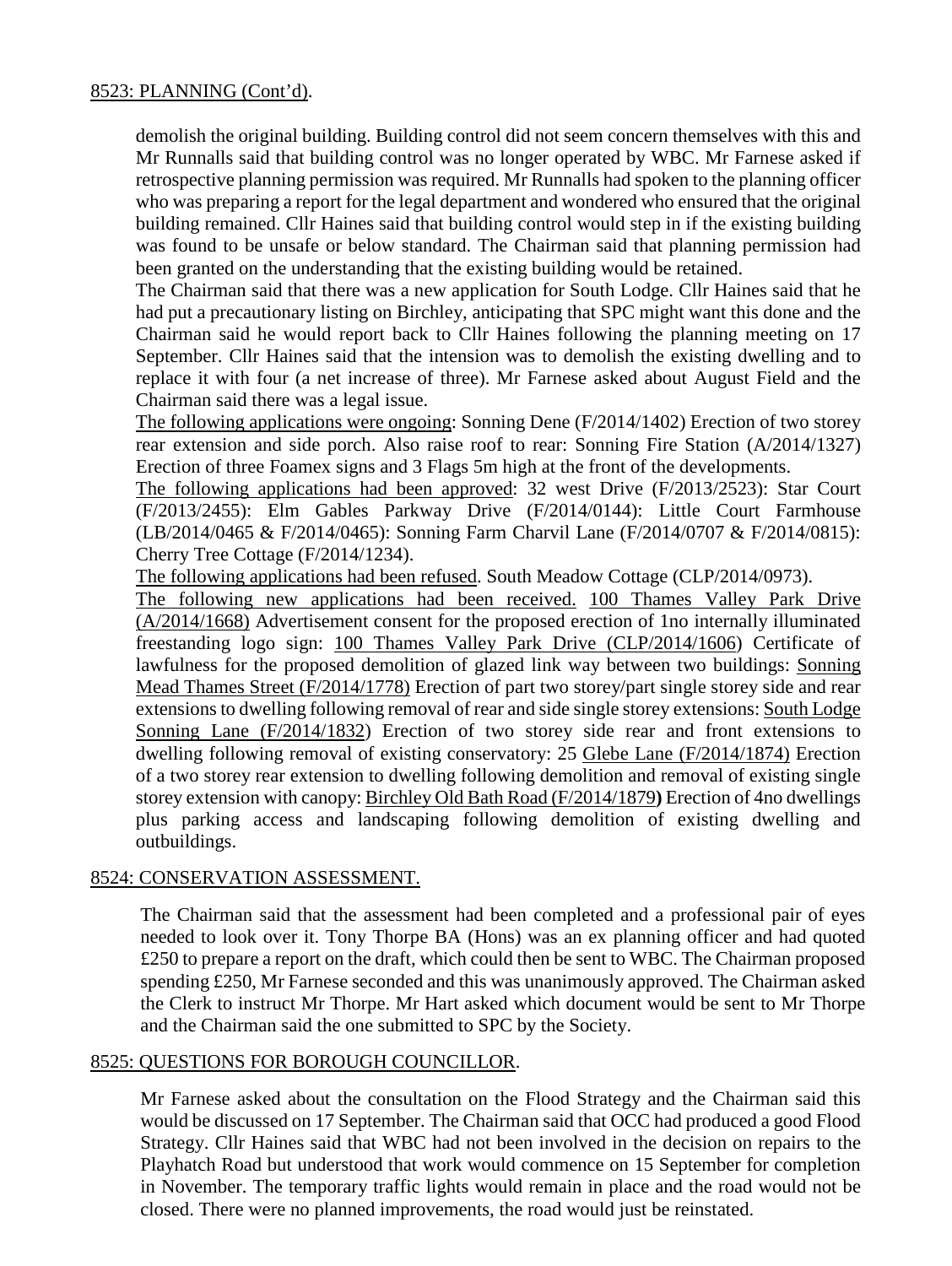## 8523: PLANNING (Cont'd).

demolish the original building. Building control did not seem concern themselves with this and Mr Runnalls said that building control was no longer operated by WBC. Mr Farnese asked if retrospective planning permission was required. Mr Runnalls had spoken to the planning officer who was preparing a report for the legal department and wondered who ensured that the original building remained. Cllr Haines said that building control would step in if the existing building was found to be unsafe or below standard. The Chairman said that planning permission had been granted on the understanding that the existing building would be retained.

The Chairman said that there was a new application for South Lodge. Cllr Haines said that he had put a precautionary listing on Birchley, anticipating that SPC might want this done and the Chairman said he would report back to Cllr Haines following the planning meeting on 17 September. Cllr Haines said that the intension was to demolish the existing dwelling and to replace it with four (a net increase of three). Mr Farnese asked about August Field and the Chairman said there was a legal issue.

The following applications were ongoing: Sonning Dene (F/2014/1402) Erection of two storey rear extension and side porch. Also raise roof to rear: Sonning Fire Station (A/2014/1327) Erection of three Foamex signs and 3 Flags 5m high at the front of the developments.

The following applications had been approved: 32 west Drive (F/2013/2523): Star Court (F/2013/2455): Elm Gables Parkway Drive (F/2014/0144): Little Court Farmhouse (LB/2014/0465 & F/2014/0465): Sonning Farm Charvil Lane (F/2014/0707 & F/2014/0815): Cherry Tree Cottage (F/2014/1234).

The following applications had been refused. South Meadow Cottage (CLP/2014/0973).

The following new applications had been received. 100 Thames Valley Park Drive (A/2014/1668) Advertisement consent for the proposed erection of 1no internally illuminated freestanding logo sign: 100 Thames Valley Park Drive (CLP/2014/1606) Certificate of lawfulness for the proposed demolition of glazed link way between two buildings: Sonning Mead Thames Street (F/2014/1778) Erection of part two storey/part single storey side and rear extensions to dwelling following removal of rear and side single storey extensions: South Lodge Sonning Lane (F/2014/1832) Erection of two storey side rear and front extensions to dwelling following removal of existing conservatory: 25 Glebe Lane (F/2014/1874) Erection of a two storey rear extension to dwelling following demolition and removal of existing single storey extension with canopy: Birchley Old Bath Road (F/2014/1879**)** Erection of 4no dwellings plus parking access and landscaping following demolition of existing dwelling and outbuildings.

## 8524: CONSERVATION ASSESSMENT.

The Chairman said that the assessment had been completed and a professional pair of eyes needed to look over it. Tony Thorpe BA (Hons) was an ex planning officer and had quoted £250 to prepare a report on the draft, which could then be sent to WBC. The Chairman proposed spending £250, Mr Farnese seconded and this was unanimously approved. The Chairman asked the Clerk to instruct Mr Thorpe. Mr Hart asked which document would be sent to Mr Thorpe and the Chairman said the one submitted to SPC by the Society.

## 8525: QUESTIONS FOR BOROUGH COUNCILLOR.

Mr Farnese asked about the consultation on the Flood Strategy and the Chairman said this would be discussed on 17 September. The Chairman said that OCC had produced a good Flood Strategy. Cllr Haines said that WBC had not been involved in the decision on repairs to the Playhatch Road but understood that work would commence on 15 September for completion in November. The temporary traffic lights would remain in place and the road would not be closed. There were no planned improvements, the road would just be reinstated.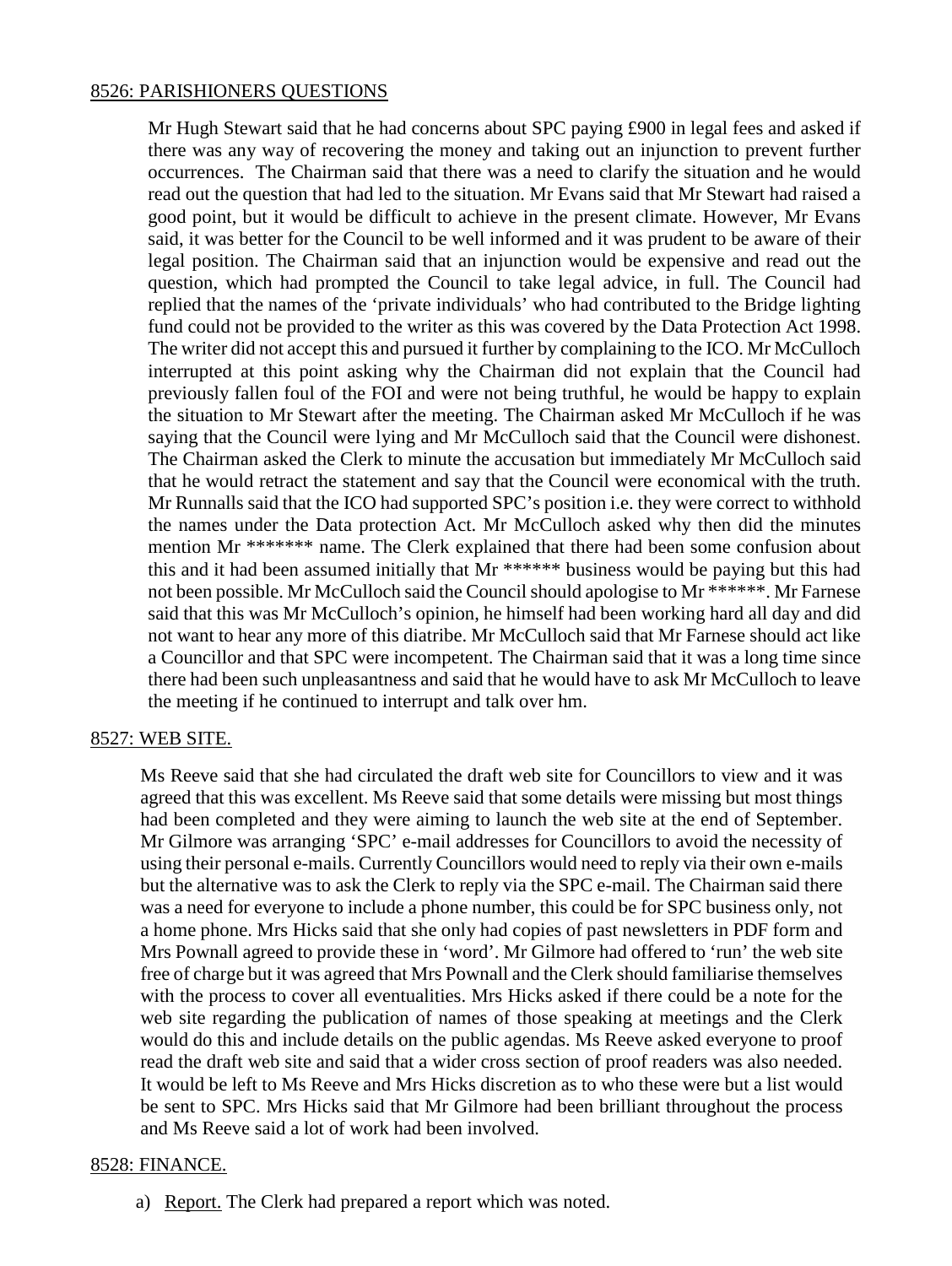## 8526: PARISHIONERS QUESTIONS

Mr Hugh Stewart said that he had concerns about SPC paying £900 in legal fees and asked if there was any way of recovering the money and taking out an injunction to prevent further occurrences. The Chairman said that there was a need to clarify the situation and he would read out the question that had led to the situation. Mr Evans said that Mr Stewart had raised a good point, but it would be difficult to achieve in the present climate. However, Mr Evans said, it was better for the Council to be well informed and it was prudent to be aware of their legal position. The Chairman said that an injunction would be expensive and read out the question, which had prompted the Council to take legal advice, in full. The Council had replied that the names of the 'private individuals' who had contributed to the Bridge lighting fund could not be provided to the writer as this was covered by the Data Protection Act 1998. The writer did not accept this and pursued it further by complaining to the ICO. Mr McCulloch interrupted at this point asking why the Chairman did not explain that the Council had previously fallen foul of the FOI and were not being truthful, he would be happy to explain the situation to Mr Stewart after the meeting. The Chairman asked Mr McCulloch if he was saying that the Council were lying and Mr McCulloch said that the Council were dishonest. The Chairman asked the Clerk to minute the accusation but immediately Mr McCulloch said that he would retract the statement and say that the Council were economical with the truth. Mr Runnalls said that the ICO had supported SPC's position i.e. they were correct to withhold the names under the Data protection Act. Mr McCulloch asked why then did the minutes mention Mr \*\*\*\*\*\*\* name. The Clerk explained that there had been some confusion about this and it had been assumed initially that Mr \*\*\*\*\*\* business would be paying but this had not been possible. Mr McCulloch said the Council should apologise to Mr \*\*\*\*\*\*. Mr Farnese said that this was Mr McCulloch's opinion, he himself had been working hard all day and did not want to hear any more of this diatribe. Mr McCulloch said that Mr Farnese should act like a Councillor and that SPC were incompetent. The Chairman said that it was a long time since there had been such unpleasantness and said that he would have to ask Mr McCulloch to leave the meeting if he continued to interrupt and talk over hm.

## 8527: WEB SITE.

Ms Reeve said that she had circulated the draft web site for Councillors to view and it was agreed that this was excellent. Ms Reeve said that some details were missing but most things had been completed and they were aiming to launch the web site at the end of September. Mr Gilmore was arranging 'SPC' e-mail addresses for Councillors to avoid the necessity of using their personal e-mails. Currently Councillors would need to reply via their own e-mails but the alternative was to ask the Clerk to reply via the SPC e-mail. The Chairman said there was a need for everyone to include a phone number, this could be for SPC business only, not a home phone. Mrs Hicks said that she only had copies of past newsletters in PDF form and Mrs Pownall agreed to provide these in 'word'. Mr Gilmore had offered to 'run' the web site free of charge but it was agreed that Mrs Pownall and the Clerk should familiarise themselves with the process to cover all eventualities. Mrs Hicks asked if there could be a note for the web site regarding the publication of names of those speaking at meetings and the Clerk would do this and include details on the public agendas. Ms Reeve asked everyone to proof read the draft web site and said that a wider cross section of proof readers was also needed. It would be left to Ms Reeve and Mrs Hicks discretion as to who these were but a list would be sent to SPC. Mrs Hicks said that Mr Gilmore had been brilliant throughout the process and Ms Reeve said a lot of work had been involved.

### 8528: FINANCE.

a) Report. The Clerk had prepared a report which was noted.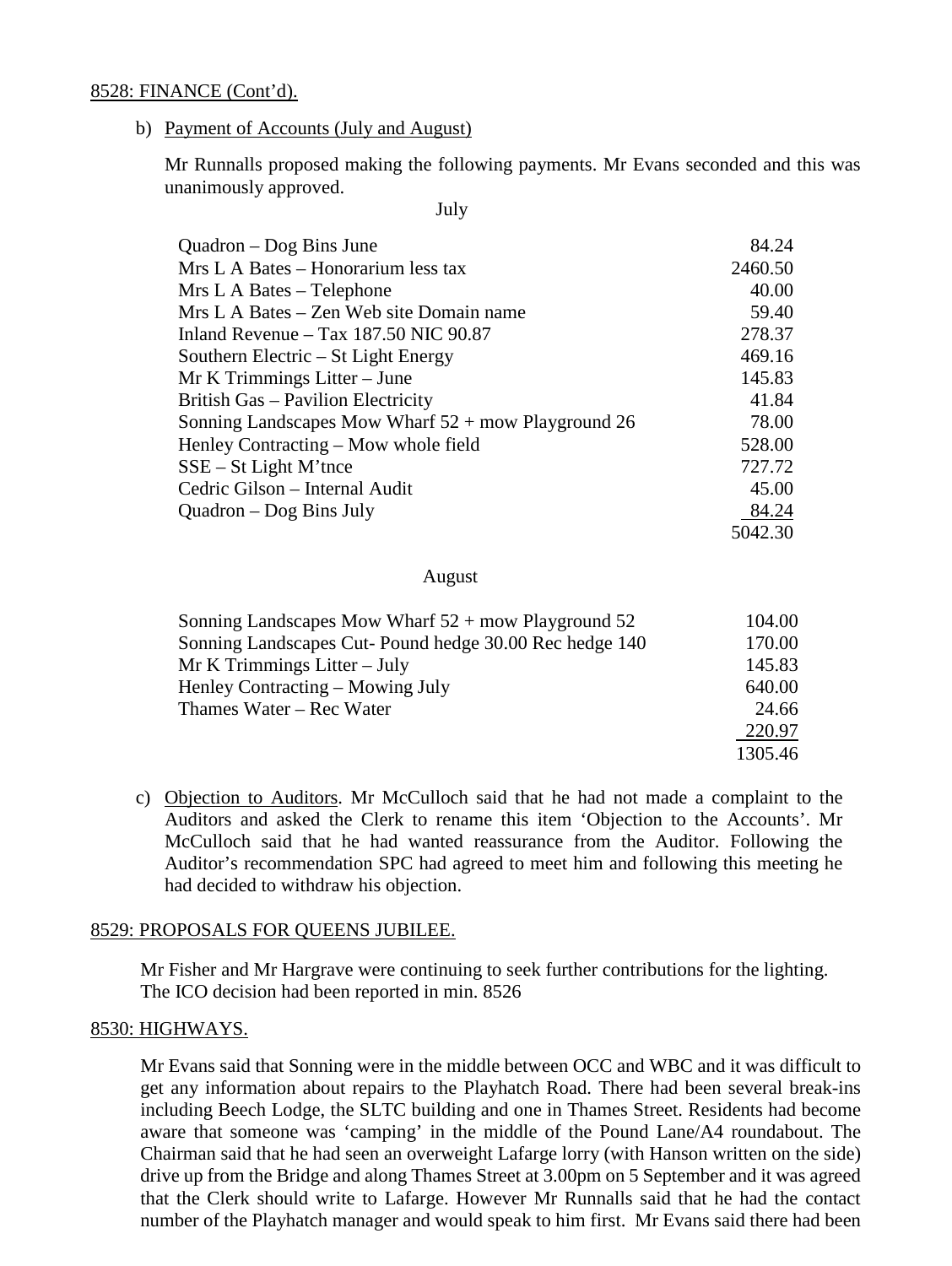### 8528: FINANCE (Cont'd).

b) Payment of Accounts (July and August)

Mr Runnalls proposed making the following payments. Mr Evans seconded and this was unanimously approved.

July

| $Quadron - Dog Bins June$                             | 84.24   |
|-------------------------------------------------------|---------|
| Mrs L A Bates – Honorarium less tax                   | 2460.50 |
| Mrs L A Bates – Telephone                             | 40.00   |
| Mrs L A Bates – Zen Web site Domain name              | 59.40   |
| Inland Revenue $-$ Tax 187.50 NIC 90.87               | 278.37  |
| Southern Electric – St Light Energy                   | 469.16  |
| Mr K Trimmings Litter – June                          | 145.83  |
| British Gas – Pavilion Electricity                    | 41.84   |
| Sonning Landscapes Mow Wharf $52 +$ mow Playground 26 | 78.00   |
| Henley Contracting – Mow whole field                  | 528.00  |
| $SSE - St Light M'$ tnce                              | 727.72  |
| Cedric Gilson - Internal Audit                        | 45.00   |
| Quadron – Dog Bins July                               | 84.24   |
|                                                       | 5042.30 |

#### August

| Sonning Landscapes Mow Wharf $52 +$ mow Playground 52   | 104.00  |
|---------------------------------------------------------|---------|
| Sonning Landscapes Cut- Pound hedge 30.00 Rec hedge 140 | 170.00  |
| $Mr K$ Trimmings Litter – July                          | 145.83  |
| Henley Contracting – Mowing July                        | 640.00  |
| Thames Water – Rec Water                                | 24.66   |
|                                                         | 220.97  |
|                                                         | 1305.46 |

c) Objection to Auditors. Mr McCulloch said that he had not made a complaint to the Auditors and asked the Clerk to rename this item 'Objection to the Accounts'. Mr McCulloch said that he had wanted reassurance from the Auditor. Following the Auditor's recommendation SPC had agreed to meet him and following this meeting he had decided to withdraw his objection.

### 8529: PROPOSALS FOR QUEENS JUBILEE.

Mr Fisher and Mr Hargrave were continuing to seek further contributions for the lighting. The ICO decision had been reported in min. 8526

### 8530: HIGHWAYS.

Mr Evans said that Sonning were in the middle between OCC and WBC and it was difficult to get any information about repairs to the Playhatch Road. There had been several break-ins including Beech Lodge, the SLTC building and one in Thames Street. Residents had become aware that someone was 'camping' in the middle of the Pound Lane/A4 roundabout. The Chairman said that he had seen an overweight Lafarge lorry (with Hanson written on the side) drive up from the Bridge and along Thames Street at 3.00pm on 5 September and it was agreed that the Clerk should write to Lafarge. However Mr Runnalls said that he had the contact number of the Playhatch manager and would speak to him first. Mr Evans said there had been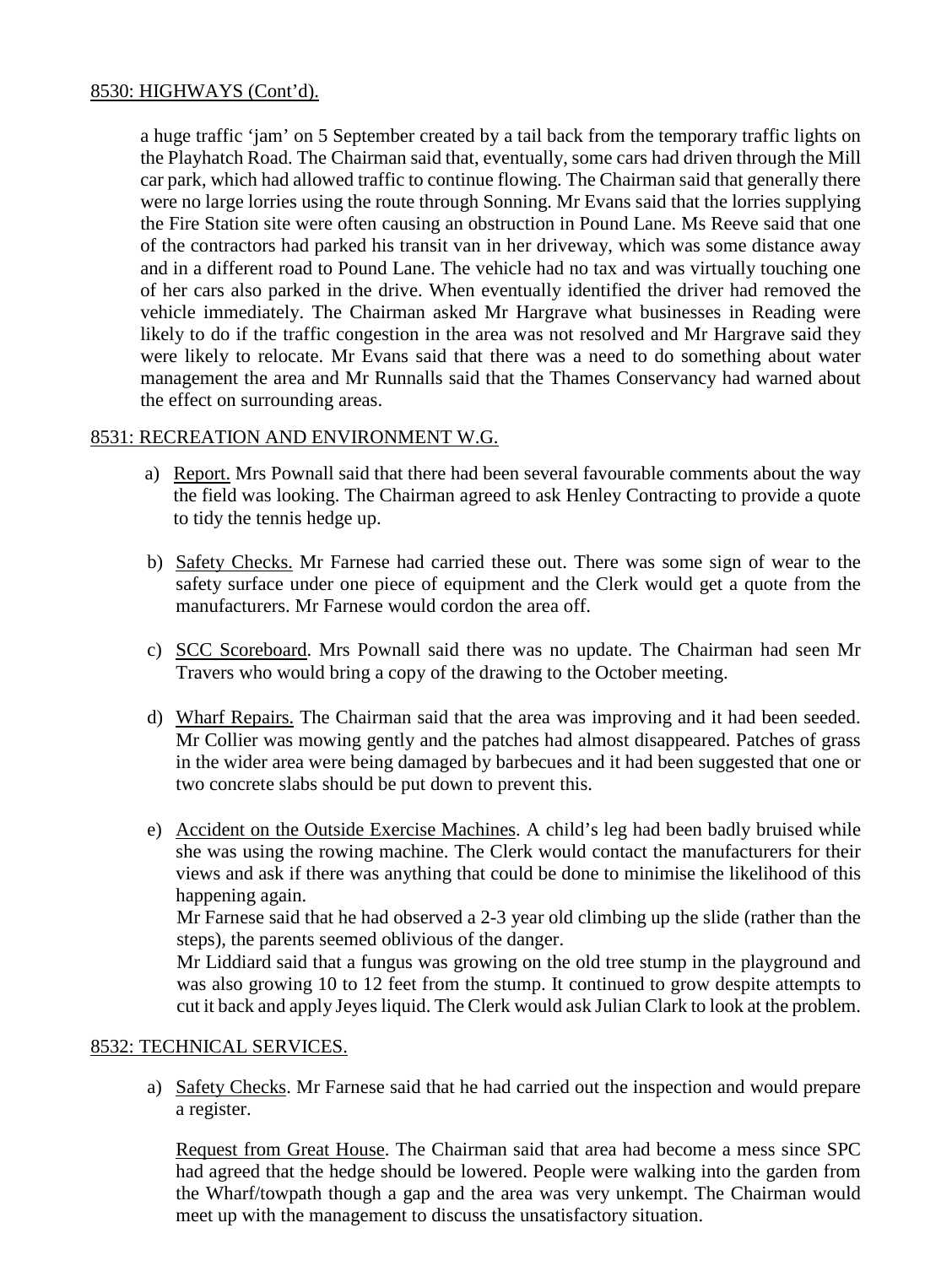# 8530: HIGHWAYS (Cont'd).

a huge traffic 'jam' on 5 September created by a tail back from the temporary traffic lights on the Playhatch Road. The Chairman said that, eventually, some cars had driven through the Mill car park, which had allowed traffic to continue flowing. The Chairman said that generally there were no large lorries using the route through Sonning. Mr Evans said that the lorries supplying the Fire Station site were often causing an obstruction in Pound Lane. Ms Reeve said that one of the contractors had parked his transit van in her driveway, which was some distance away and in a different road to Pound Lane. The vehicle had no tax and was virtually touching one of her cars also parked in the drive. When eventually identified the driver had removed the vehicle immediately. The Chairman asked Mr Hargrave what businesses in Reading were likely to do if the traffic congestion in the area was not resolved and Mr Hargrave said they were likely to relocate. Mr Evans said that there was a need to do something about water management the area and Mr Runnalls said that the Thames Conservancy had warned about the effect on surrounding areas.

# 8531: RECREATION AND ENVIRONMENT W.G.

- a) Report. Mrs Pownall said that there had been several favourable comments about the way the field was looking. The Chairman agreed to ask Henley Contracting to provide a quote to tidy the tennis hedge up.
- b) Safety Checks. Mr Farnese had carried these out. There was some sign of wear to the safety surface under one piece of equipment and the Clerk would get a quote from the manufacturers. Mr Farnese would cordon the area off.
- c) SCC Scoreboard. Mrs Pownall said there was no update. The Chairman had seen Mr Travers who would bring a copy of the drawing to the October meeting.
- d) Wharf Repairs. The Chairman said that the area was improving and it had been seeded. Mr Collier was mowing gently and the patches had almost disappeared. Patches of grass in the wider area were being damaged by barbecues and it had been suggested that one or two concrete slabs should be put down to prevent this.
- e) Accident on the Outside Exercise Machines. A child's leg had been badly bruised while she was using the rowing machine. The Clerk would contact the manufacturers for their views and ask if there was anything that could be done to minimise the likelihood of this happening again.

Mr Farnese said that he had observed a 2-3 year old climbing up the slide (rather than the steps), the parents seemed oblivious of the danger.

Mr Liddiard said that a fungus was growing on the old tree stump in the playground and was also growing 10 to 12 feet from the stump. It continued to grow despite attempts to cut it back and apply Jeyes liquid. The Clerk would ask Julian Clark to look at the problem.

## 8532: TECHNICAL SERVICES.

a) Safety Checks. Mr Farnese said that he had carried out the inspection and would prepare a register.

Request from Great House. The Chairman said that area had become a mess since SPC had agreed that the hedge should be lowered. People were walking into the garden from the Wharf/towpath though a gap and the area was very unkempt. The Chairman would meet up with the management to discuss the unsatisfactory situation.